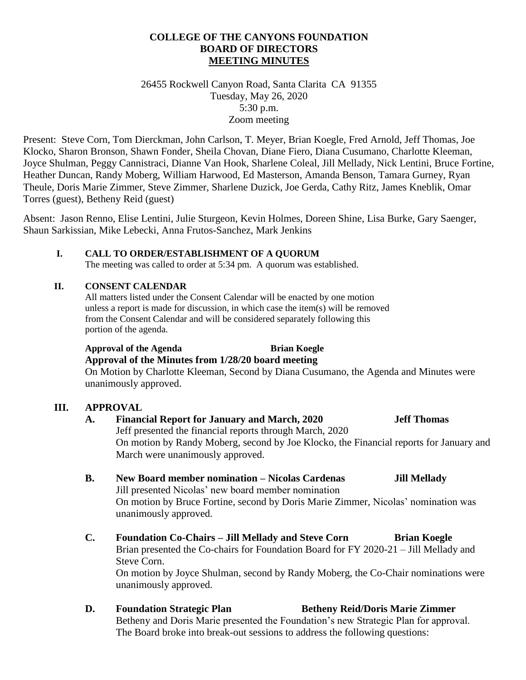#### **COLLEGE OF THE CANYONS FOUNDATION BOARD OF DIRECTORS MEETING MINUTES**

26455 Rockwell Canyon Road, Santa Clarita CA 91355 Tuesday, May 26, 2020 5:30 p.m. Zoom meeting

Present: Steve Corn, Tom Dierckman, John Carlson, T. Meyer, Brian Koegle, Fred Arnold, Jeff Thomas, Joe Klocko, Sharon Bronson, Shawn Fonder, Sheila Chovan, Diane Fiero, Diana Cusumano, Charlotte Kleeman, Joyce Shulman, Peggy Cannistraci, Dianne Van Hook, Sharlene Coleal, Jill Mellady, Nick Lentini, Bruce Fortine, Heather Duncan, Randy Moberg, William Harwood, Ed Masterson, Amanda Benson, Tamara Gurney, Ryan Theule, Doris Marie Zimmer, Steve Zimmer, Sharlene Duzick, Joe Gerda, Cathy Ritz, James Kneblik, Omar Torres (guest), Betheny Reid (guest)

Absent: Jason Renno, Elise Lentini, Julie Sturgeon, Kevin Holmes, Doreen Shine, Lisa Burke, Gary Saenger, Shaun Sarkissian, Mike Lebecki, Anna Frutos-Sanchez, Mark Jenkins

#### **I. CALL TO ORDER/ESTABLISHMENT OF A QUORUM**

The meeting was called to order at 5:34 pm. A quorum was established.

#### **II. CONSENT CALENDAR**

All matters listed under the Consent Calendar will be enacted by one motion unless a report is made for discussion, in which case the item(s) will be removed from the Consent Calendar and will be considered separately following this portion of the agenda.

# **Approval of the Agenda Brian Koegle**

**Approval of the Minutes from 1/28/20 board meeting** On Motion by Charlotte Kleeman, Second by Diana Cusumano, the Agenda and Minutes were unanimously approved.

#### **III. APPROVAL**

## **A. Financial Report for January and March, 2020 Jeff Thomas** Jeff presented the financial reports through March, 2020 On motion by Randy Moberg, second by Joe Klocko, the Financial reports for January and March were unanimously approved.

- **B. New Board member nomination – Nicolas Cardenas Jill Mellady** Jill presented Nicolas' new board member nomination On motion by Bruce Fortine, second by Doris Marie Zimmer, Nicolas' nomination was unanimously approved.
- **C. Foundation Co-Chairs – Jill Mellady and Steve Corn Brian Koegle** Brian presented the Co-chairs for Foundation Board for FY 2020-21 – Jill Mellady and Steve Corn. On motion by Joyce Shulman, second by Randy Moberg, the Co-Chair nominations were unanimously approved.
- **D.** Foundation Strategic Plan **Betheny Reid/Doris Marie Zimmer** Betheny and Doris Marie presented the Foundation's new Strategic Plan for approval. The Board broke into break-out sessions to address the following questions: